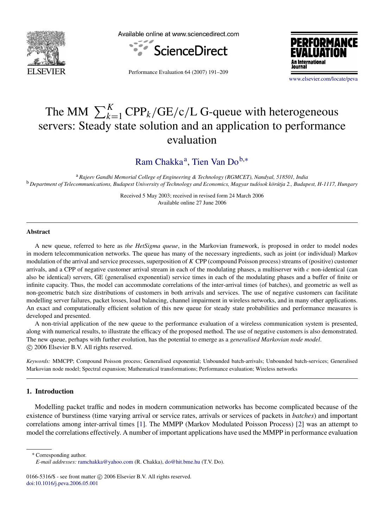

Available online at www.sciencedirect.com





Performance Evaluation 64 (2007) 191–209

[www.elsevier.com/locate/peva](http://www.elsevier.com/locate/peva)

# The MM  $\sum_{k=1}^{K}$  CPP<sub>k</sub>/GE/c/L G-queue with heterogeneous servers: Steady state solution and an application to performance evaluation

[Ram Chakka](#page-18-0)<sup>[a](#page-0-0)</sup>, [Tien Van Do](#page-18-1)<sup>[b,](#page-0-1)\*</sup>

<span id="page-0-1"></span><sup>a</sup> *Rajeev Gandhi Memorial College of Engineering & Technology (RGMCET), Nandyal, 518501, India* <sup>b</sup> Department of Telecommunications, Budapest University of Technology and Economics, Magyar tudósok körútja 2., Budapest, H-1117, Hungary

> <span id="page-0-0"></span>Received 5 May 2003; received in revised form 24 March 2006 Available online 27 June 2006

#### Abstract

A new queue, referred to here as *the HetSigma queue*, in the Markovian framework, is proposed in order to model nodes in modern telecommunication networks. The queue has many of the necessary ingredients, such as joint (or individual) Markov modulation of the arrival and service processes, superposition of *K* CPP (compound Poisson process) streams of (positive) customer arrivals, and a CPP of negative customer arrival stream in each of the modulating phases, a multiserver with *c* non-identical (can also be identical) servers, GE (generalised exponential) service times in each of the modulating phases and a buffer of finite or infinite capacity. Thus, the model can accommodate correlations of the inter-arrival times (of batches), and geometric as well as non-geometric batch size distributions of customers in both arrivals and services. The use of negative customers can facilitate modelling server failures, packet losses, load balancing, channel impairment in wireless networks, and in many other applications. An exact and computationally efficient solution of this new queue for steady state probabilities and performance measures is developed and presented.

A non-trivial application of the new queue to the performance evaluation of a wireless communication system is presented, along with numerical results, to illustrate the efficacy of the proposed method. The use of negative customers is also demonstrated. The new queue, perhaps with further evolution, has the potential to emerge as a *generalised Markovian node model*. c 2006 Elsevier B.V. All rights reserved.

*Keywords:* MMCPP; Compound Poisson process; Generalised exponential; Unbounded batch-arrivals; Unbounded batch-services; Generalised Markovian node model; Spectral expansion; Mathematical transformations; Performance evaluation; Wireless networks

# 1. Introduction

Modelling packet traffic and nodes in modern communication networks has become complicated because of the existence of burstiness (time varying arrival or service rates, arrivals or services of packets in *batches*) and important correlations among inter-arrival times [\[1\]](#page-16-0). The MMPP (Markov Modulated Poisson Process) [\[2\]](#page-16-1) was an attempt to model the correlations effectively. A number of important applications have used the MMPP in performance evaluation

<span id="page-0-2"></span><sup>∗</sup> Corresponding author.

0166-5316/\$ - see front matter © 2006 Elsevier B.V. All rights reserved. [doi:10.1016/j.peva.2006.05.001](http://dx.doi.org/10.1016/j.peva.2006.05.001)

*E-mail addresses:* [ramchakka@yahoo.com](mailto:ramchakka@yahoo.com) (R. Chakka), [do@hit.bme.hu](mailto:do@hit.bme.hu) (T.V. Do).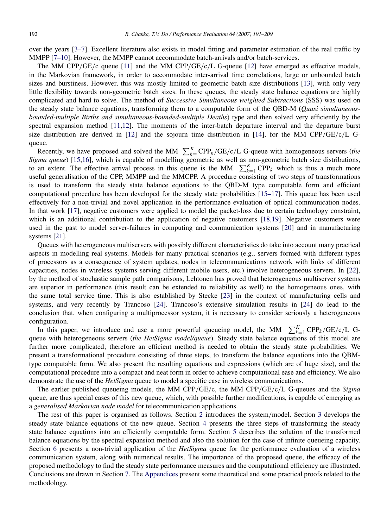over the years [\[3–7\]](#page-16-2). Excellent literature also exists in model fitting and parameter estimation of the real traffic by MMPP [\[7–10\]](#page-17-0). However, the MMPP cannot accommodate batch-arrivals and/or batch-services.

The MM CPP/GE/c queue [\[11\]](#page-17-1) and the MM CPP/GE/c/L G-queue [\[12\]](#page-17-2) have emerged as effective models, in the Markovian framework, in order to accommodate inter-arrival time correlations, large or unbounded batch sizes and burstiness. However, this was mostly limited to geometric batch size distributions [\[13\]](#page-17-3), with only very little flexibility towards non-geometric batch sizes. In these queues, the steady state balance equations are highly complicated and hard to solve. The method of *Successive Simultaneous weighted Subtractions* (SSS) was used on the steady state balance equations, transforming them to a computable form of the QBD-M (*Quasi simultaneousbounded-multiple Births and simultaneous-bounded-multiple Deaths*) type and then solved very efficiently by the spectral expansion method [\[11](#page-17-1)[,12\]](#page-17-2). The moments of the inter-batch departure interval and the departure burst size distribution are derived in [\[12\]](#page-17-2) and the sojourn time distribution in [\[14\]](#page-17-4), for the MM CPP/GE/c/L Gqueue.

Recently, we have proposed and solved the MM  $\sum_{k=1}^{K} \text{CPP}_k/\text{GE/c/L}$  G-queue with homogeneous servers (*the Sigma queue*) [\[15,](#page-17-5)[16\]](#page-17-6), which is capable of modelling geometric as well as non-geometric batch size distributions, to an extent. The effective arrival process in this queue is the MM  $\sum_{k=1}^{K} CPP_k$  which is thus a much more useful generalisation of the CPP, MMPP and the MMCPP. A procedure consisting of two steps of transformations is used to transform the steady state balance equations to the QBD-M type computable form and efficient computational procedure has been developed for the steady state probabilities [\[15–17\]](#page-17-5). This queue has been used effectively for a non-trivial and novel application in the performance evaluation of optical communication nodes. In that work [\[17\]](#page-17-7), negative customers were applied to model the packet-loss due to certain technology constraint, which is an additional contribution to the application of negative customers [\[18](#page-17-8)[,19\]](#page-17-9). Negative customers were used in the past to model server-failures in computing and communication systems [\[20\]](#page-17-10) and in manufacturing systems [\[21\]](#page-17-11).

Queues with heterogeneous multiservers with possibly different characteristics do take into account many practical aspects in modelling real systems. Models for many practical scenarios (e.g., servers formed with different types of processors as a consequence of system updates, nodes in telecommunications network with links of different capacities, nodes in wireless systems serving different mobile users, etc.) involve heterogeneous servers. In [\[22\]](#page-17-12), by the method of stochastic sample path comparisons, Lehtonen has proved that heterogeneous multiserver systems are superior in performance (this result can be extended to reliability as well) to the homogeneous ones, with the same total service time. This is also established by Stecke [\[23\]](#page-17-13) in the context of manufacturing cells and systems, and very recently by Trancoso [\[24\]](#page-17-14). Trancoso's extensive simulation results in [\[24\]](#page-17-14) do lead to the conclusion that, when configuring a multiprocessor system, it is necessary to consider seriously a heterogeneous configuration.

In this paper, we introduce and use a more powerful queueing model, the MM  $\sum_{k=1}^{K} \text{CPP}_k/\text{GE/c/L}$  Gqueue with heterogeneous servers (*the HetSigma model/queue*). Steady state balance equations of this model are further more complicated; therefore an efficient method is needed to obtain the steady state probabilities. We present a transformational procedure consisting of three steps, to transform the balance equations into the QBMtype computable form. We also present the resulting equations and expressions (which are of huge size), and the computational procedure into a compact and neat form in order to achieve computational ease and efficiency. We also demonstrate the use of the *HetSigma* queue to model a specific case in wireless communications.

The earlier published queueing models, the MM CPP/GE/c, the MM CPP/GE/c/L G-queues and the *Sigma* queue, are thus special cases of this new queue, which, with possible further modifications, is capable of emerging as a *generalised Markovian node model* for telecommunication applications.

The rest of this paper is organised as follows. Section [2](#page-2-0) introduces the system/model. Section [3](#page-4-0) develops the steady state balance equations of the new queue. Section [4](#page-6-0) presents the three steps of transforming the steady state balance equations into an efficiently computable form. Section [5](#page-9-0) describes the solution of the transformed balance equations by the spectral expansion method and also the solution for the case of infinite queueing capacity. Section [6](#page-10-0) presents a non-trivial application of the *HetSigma* queue for the performance evaluation of a wireless communication system, along with numerical results. The importance of the proposed queue, the efficacy of the proposed methodology to find the steady state performance measures and the computational efficiency are illustrated. Conclusions are drawn in Section [7.](#page-13-0) The [Appendices](#page-13-1) present some theoretical and some practical proofs related to the methodology.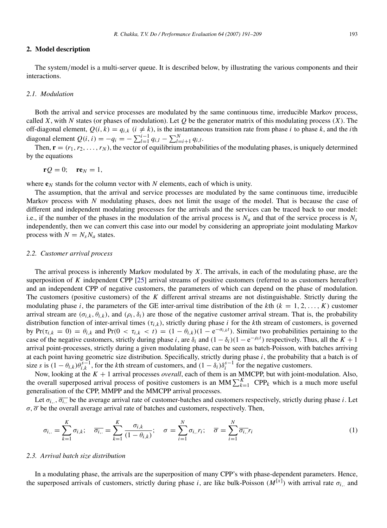#### <span id="page-2-0"></span>2. Model description

The system/model is a multi-server queue. It is described below, by illustrating the various components and their interactions.

# *2.1. Modulation*

Both the arrival and service processes are modulated by the same continuous time, irreducible Markov process, called *X*, with *N* states (or phases of modulation). Let *Q* be the generator matrix of this modulating process  $(X)$ . The off-diagonal element,  $Q(i, k) = q_{i,k}$  ( $i \neq k$ ), is the instantaneous transition rate from phase *i* to phase *k*, and the *i*th diagonal element  $Q(i, i) = -q_i = -\sum_{l=1}^{i-1} q_{i,l} - \sum_{l=i+1}^{N} q_{i,l}$ .

Then,  $\mathbf{r} = (r_1, r_2, \dots, r_N)$ , the vector of equilibrium probabilities of the modulating phases, is uniquely determined by the equations

$$
\mathbf{r}\mathcal{Q}=0;\quad \mathbf{r}\mathbf{e}_N=1,
$$

where  $e_N$  stands for the column vector with N elements, each of which is unity.

The assumption, that the arrival and service processes are modulated by the same continuous time, irreducible Markov process with *N* modulating phases, does not limit the usage of the model. That is because the case of different and independent modulating processes for the arrivals and the services can be traced back to our model: i.e., if the number of the phases in the modulation of the arrival process is  $N_a$  and that of the service process is  $N_s$ independently, then we can convert this case into our model by considering an appropriate joint modulating Markov process with  $N = N_s N_a$  states.

#### *2.2. Customer arrival process*

The arrival process is inherently Markov modulated by *X*. The arrivals, in each of the modulating phase, are the superposition of *K* independent CPP [\[25\]](#page-17-15) arrival streams of positive customers (referred to as customers hereafter) and an independent CPP of negative customers, the parameters of which can depend on the phase of modulation. The customers (positive customers) of the *K* different arrival streams are not distinguishable. Strictly during the modulating phase *i*, the parameters of the GE inter-arrival time distribution of the *k*th  $(k = 1, 2, \ldots, K)$  customer arrival stream are  $(\sigma_{i,k}, \theta_{i,k})$ , and  $(\rho_i, \delta_i)$  are those of the negative customer arrival stream. That is, the probability distribution function of inter-arrival times (τ*i*,*<sup>k</sup>* ), strictly during phase *i* for the *k*th stream of customers, is governed by  $Pr(\tau_{i,k} = 0) = \theta_{i,k}$  and  $Pr(0 < \tau_{i,k} < t) = (1 - \theta_{i,k})(1 - e^{-\sigma_{i,k}t})$ . Similar two probabilities pertaining to the case of the negative customers, strictly during phase *i*, are  $\delta_i$  and  $(1 - \delta_i)(1 - e^{-\rho_i t})$  respectively. Thus, all the  $K + 1$ arrival point-processes, strictly during a given modulating phase, can be seen as batch-Poisson, with batches arriving at each point having geometric size distribution. Specifically, strictly during phase *i*, the probability that a batch is of size *s* is  $(1 - \theta_{i,k})\theta_{i,k}^{s-1}$ , for the *k*th stream of customers, and  $(1 - \delta_i)\delta_i^{s-1}$  for the negative customers.

Now, looking at the *K* + 1 arrival processes *overall*, each of them is an MMCPP, but with joint-modulation. Also, the overall superposed arrival process of positive customers is an MM $\sum_{k=1}^{K}$  CPP<sub>k</sub> which is a much more useful generalisation of the CPP, MMPP and the MMCPP arrival processes.

Let  $\sigma_{i...}, \overline{\sigma_{i...}}$  be the average arrival rate of customer-batches and customers respectively, strictly during phase *i*. Let  $\sigma$ ,  $\overline{\sigma}$  be the overall average arrival rate of batches and customers, respectively. Then,

$$
\sigma_{i..} = \sum_{k=1}^{K} \sigma_{i,k}; \quad \overline{\sigma_{i..}} = \sum_{k=1}^{K} \frac{\sigma_{i,k}}{(1 - \theta_{i,k})}; \quad \sigma = \sum_{i=1}^{N} \sigma_{i..} r_i; \quad \overline{\sigma} = \sum_{i=1}^{N} \overline{\sigma_{i..}} r_i
$$
\n(1)

#### *2.3. Arrival batch size distribution*

In a modulating phase, the arrivals are the superposition of many CPP's with phase-dependent parameters. Hence, the superposed arrivals of customers, strictly during phase *i*, are like bulk-Poisson  $(M^{[\hat{x}]} )$  with arrival rate  $\sigma_{i}$ , and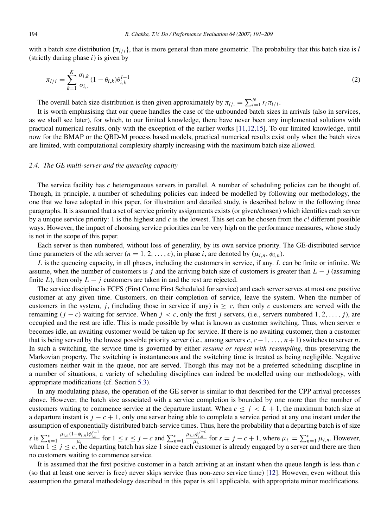with a batch size distribution  $\{\pi_l\}_{l}$ , that is more general than mere geometric. The probability that this batch size is *l* (strictly during phase *i*) is given by

$$
\pi_{l/i} = \sum_{k=1}^{K} \frac{\sigma_{i,k}}{\sigma_{i,}} (1 - \theta_{i,k}) \theta_{i,k}^{l-1}
$$
\n(2)

The overall batch size distribution is then given approximately by  $\pi_{l/} = \sum_{i=1}^{N} r_i \pi_{l/i}$ .

It is worth emphasising that our queue handles the case of the unbounded batch sizes in arrivals (also in services, as we shall see later), for which, to our limited knowledge, there have never been any implemented solutions with practical numerical results, only with the exception of the earlier works [\[11,](#page-17-1)[12,](#page-17-2)[15\]](#page-17-5). To our limited knowledge, until now for the BMAP or the QBD-M process based models, practical numerical results exist only when the batch sizes are limited, with computational complexity sharply increasing with the maximum batch size allowed.

#### *2.4. The GE multi-server and the queueing capacity*

The service facility has *c* heterogeneous servers in parallel. A number of scheduling policies can be thought of. Though, in principle, a number of scheduling policies can indeed be modelled by following our methodology, the one that we have adopted in this paper, for illustration and detailed study, is described below in the following three paragraphs. It is assumed that a set of service priority assignments exists (or given/chosen) which identifies each server by a unique service priority: 1 is the highest and *c* is the lowest. This set can be chosen from the *c*! different possible ways. However, the impact of choosing service priorities can be very high on the performance measures, whose study is not in the scope of this paper.

Each server is then numbered, without loss of generality, by its own service priority. The GE-distributed service time parameters of the *n*th server  $(n = 1, 2, \ldots, c)$ , in phase *i*, are denoted by  $(\mu_{i,n}, \phi_{i,n})$ .

*L* is the queueing capacity, in all phases, including the customers in service, if any. *L* can be finite or infinite. We assume, when the number of customers is *j* and the arriving batch size of customers is greater than *L* − *j* (assuming finite *L*), then only  $L - j$  customers are taken in and the rest are rejected.

The service discipline is FCFS (First Come First Scheduled for service) and each server serves at most one positive customer at any given time. Customers, on their completion of service, leave the system. When the number of customers in the system, *j*, (including those in service if any) is  $\geq c$ , then only *c* customers are served with the remaining  $(j - c)$  waiting for service. When  $j < c$ , only the first *j* servers, (i.e., servers numbered 1, 2, ..., *j*), are occupied and the rest are idle. This is made possible by what is known as customer switching. Thus, when server *n* becomes idle, an awaiting customer would be taken up for service. If there is no awaiting customer, then a customer that is being served by the lowest possible priority server (i.e., among servers *c*, *c* − 1, . . . , *n* + 1) switches to server *n*. In such a switching, the service time is governed by either *resume or repeat with resampling*, thus preserving the Markovian property. The switching is instantaneous and the switching time is treated as being negligible. Negative customers neither wait in the queue, nor are served. Though this may not be a preferred scheduling discipline in a number of situations, a variety of scheduling disciplines can indeed be modelled using our methodology, with appropriate modifications (cf. Section [5.3\)](#page-10-1).

In any modulating phase, the operation of the GE server is similar to that described for the CPP arrival processes above. However, the batch size associated with a service completion is bounded by one more than the number of customers waiting to commence service at the departure instant. When  $c \leq j \leq L+1$ , the maximum batch size at a departure instant is *j* − *c* + 1, only one server being able to complete a service period at any one instant under the assumption of exponentially distributed batch-service times. Thus, here the probability that a departing batch is of size *s* is  $\sum_{n=1}^{c}$  $\frac{\mu_{i,n}(1-\phi_{i,n})\phi_{i,n}^{s-1}}{\mu_i}$  for  $1 \leq s \leq j - c$  and  $\sum_{n=1}^{c}$  $\frac{\mu_{i,n} \phi_{i,n}^{j-c}}{\mu_i}$  for  $s = j - c + 1$ , where  $\mu_i = \sum_{n=1}^{c} \mu_{i,n}$ . However, when  $1 \le j \le c$ , the departing batch has size 1 since each customer is already engaged by a server and there are then no customers waiting to commence service.

It is assumed that the first positive customer in a batch arriving at an instant when the queue length is less than *c* (so that at least one server is free) never skips service (has non-zero service time) [\[12\]](#page-17-2). However, even without this assumption the general methodology described in this paper is still applicable, with appropriate minor modifications.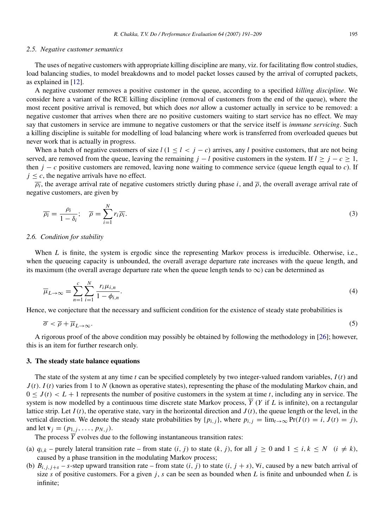#### *2.5. Negative customer semantics*

The uses of negative customers with appropriate killing discipline are many, viz. for facilitating flow control studies, load balancing studies, to model breakdowns and to model packet losses caused by the arrival of corrupted packets, as explained in [\[12\]](#page-17-2).

A negative customer removes a positive customer in the queue, according to a specified *killing discipline*. We consider here a variant of the RCE killing discipline (removal of customers from the end of the queue), where the most recent positive arrival is removed, but which does *not* allow a customer actually in service to be removed: a negative customer that arrives when there are no positive customers waiting to start service has no effect. We may say that customers in service are immune to negative customers or that the service itself is *immune servicing*. Such a killing discipline is suitable for modelling of load balancing where work is transferred from overloaded queues but never work that is actually in progress.

When a batch of negative customers of size  $l$  ( $1 \le l \le j - c$ ) arrives, any *l* positive customers, that are not being served, are removed from the queue, leaving the remaining  $j - l$  positive customers in the system. If  $l \geq j - c \geq 1$ , then  $j - c$  positive customers are removed, leaving none waiting to commence service (queue length equal to *c*). If  $j \leq c$ , the negative arrivals have no effect.

 $\overline{\rho_i}$ , the average arrival rate of negative customers strictly during phase *i*, and  $\overline{\rho}$ , the overall average arrival rate of negative customers, are given by

$$
\overline{\rho_i} = \frac{\rho_i}{1 - \delta_i}; \quad \overline{\rho} = \sum_{i=1}^N r_i \overline{\rho_i}.
$$
 (3)

### *2.6. Condition for stability*

When *L* is finite, the system is ergodic since the representing Markov process is irreducible. Otherwise, i.e., when the queueing capacity is unbounded, the overall average departure rate increases with the queue length, and its maximum (the overall average departure rate when the queue length tends to  $\infty$ ) can be determined as

$$
\overline{\mu}_{L \to \infty} = \sum_{n=1}^{c} \sum_{i=1}^{N} \frac{r_i \mu_{i,n}}{1 - \phi_{i,n}}.
$$
\n(4)

Hence, we conjecture that the necessary and sufficient condition for the existence of steady state probabilities is

<span id="page-4-1"></span>
$$
\overline{\sigma} < \overline{\rho} + \overline{\mu}_{L \to \infty}.\tag{5}
$$

A rigorous proof of the above condition may possibly be obtained by following the methodology in [\[26\]](#page-17-16); however, this is an item for further research only.

#### <span id="page-4-0"></span>3. The steady state balance equations

The state of the system at any time *t* can be specified completely by two integer-valued random variables, *I*(*t*) and *J* (*t*). *I*(*t*) varies from 1 to *N* (known as operative states), representing the phase of the modulating Markov chain, and  $0 \leq J(t) < L + 1$  represents the number of positive customers in the system at time *t*, including any in service. The system is now modelled by a continuous time discrete state Markov process,  $\overline{Y}$  (*Y* if *L* is infinite), on a rectangular lattice strip. Let  $I(t)$ , the operative state, vary in the horizontal direction and  $J(t)$ , the queue length or the level, in the vertical direction. We denote the steady state probabilities by  $\{p_{i,j}\}$ , where  $p_{i,j} = \lim_{t \to \infty} \Pr(I(t) = i, J(t) = j)$ , and let  $\mathbf{v}_j = (p_{1,j}, \ldots, p_{N,j}).$ 

The process  $\overline{Y}$  evolves due to the following instantaneous transition rates:

- (a)  $q_{i,k}$  purely lateral transition rate from state  $(i, j)$  to state  $(k, j)$ , for all  $j \ge 0$  and  $1 \le i, k \le N$   $(i \ne k)$ , caused by a phase transition in the modulating Markov process;
- (b)  $B_{i,j,j+1} s$ -step upward transition rate from state  $(i, j)$  to state  $(i, j + s)$ ,  $\forall i$ , caused by a new batch arrival of size *s* of positive customers. For a given *j*, *s* can be seen as bounded when *L* is finite and unbounded when *L* is infinite;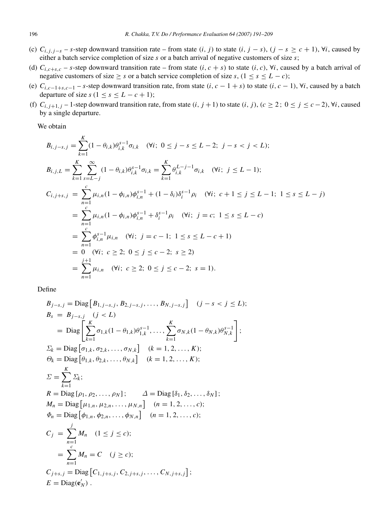- (c)  $C_{i,j,j-s}$  *s*-step downward transition rate from state  $(i, j)$  to state  $(i, j s)$ ,  $(j s \ge c + 1)$ ,  $\forall i$ , caused by either a batch service completion of size *s* or a batch arrival of negative customers of size *s*;
- (d)  $C_{i,c+s,c}$  *s*-step downward transition rate from state  $(i, c + s)$  to state  $(i, c)$ ,  $\forall i$ , caused by a batch arrival of negative customers of size  $\geq$  *s* or a batch service completion of size *s*, (1  $\leq$  *s*  $\leq$  *L* − *c*);
- (e)  $C_{i,c-1+s,c-1}$  *s*-step downward transition rate, from state  $(i, c 1 + s)$  to state  $(i, c 1)$ ,  $\forall i$ , caused by a batch departure of size  $s$  ( $1 \leq s \leq L - c + 1$ );
- (f)  $C_{i,j+1,j}$  1-step downward transition rate, from state  $(i, j+1)$  to state  $(i, j)$ ,  $(c \geq 2; 0 \leq j \leq c-2)$ ,  $\forall i$ , caused by a single departure.

We obtain

$$
B_{i,j-s,j} = \sum_{k=1}^{K} (1 - \theta_{i,k}) \theta_{i,k}^{s-1} \sigma_{i,k} \quad (\forall i; 0 \le j - s \le L - 2; j - s < j < L);
$$
\n
$$
B_{i,j,L} = \sum_{k=1}^{K} \sum_{s=L-j}^{\infty} (1 - \theta_{i,k}) \theta_{i,k}^{s-1} \sigma_{i,k} = \sum_{k=1}^{K} \theta_{i,k}^{L-j-1} \sigma_{i,k} \quad (\forall i; j \le L - 1);
$$
\n
$$
C_{i,j+s,j} = \sum_{n=1}^{C} \mu_{i,n} (1 - \phi_{i,n}) \phi_{i,n}^{s-1} + (1 - \delta_i) \delta_i^{s-1} \rho_i \quad (\forall i; c+1 \le j \le L - 1; 1 \le s \le L - j)
$$
\n
$$
= \sum_{n=1}^{C} \mu_{i,n} (1 - \phi_{i,n}) \phi_{i,n}^{s-1} + \delta_i^{s-1} \rho_i \quad (\forall i; j = c; 1 \le s \le L - c)
$$
\n
$$
= \sum_{n=1}^{C} \phi_{i,n}^{s-1} \mu_{i,n} \quad (\forall i; j = c - 1; 1 \le s \le L - c + 1)
$$
\n
$$
= 0 \quad (\forall i; c \ge 2; 0 \le j \le c - 2; s \ge 2)
$$
\n
$$
= \sum_{n=1}^{j+1} \mu_{i,n} \quad (\forall i; c \ge 2; 0 \le j \le c - 2; s = 1).
$$

Define

$$
B_{j-s,j} = \text{Diag}\left[B_{1,j-s,j}, B_{2,j-s,j}, \dots, B_{N,j-s,j}\right] \quad (j-s < j \le L);
$$
  
\n
$$
B_s = B_{j-s,j} \quad (j < L)
$$
  
\n
$$
= \text{Diag}\left[\sum_{k=1}^K \sigma_{1,k}(1-\theta_{1,k})\theta_{1,k}^{s-1}, \dots, \sum_{k=1}^K \sigma_{N,k}(1-\theta_{N,k})\theta_{N,k}^{s-1}\right];
$$
  
\n
$$
\Sigma_k = \text{Diag}\left[\sigma_{1,k}, \sigma_{2,k}, \dots, \sigma_{N,k}\right] \quad (k = 1, 2, \dots, K);
$$
  
\n
$$
\Theta_k = \text{Diag}\left[\theta_{1,k}, \theta_{2,k}, \dots, \theta_{N,k}\right] \quad (k = 1, 2, \dots, K);
$$
  
\n
$$
\Sigma = \sum_{k=1}^K \Sigma_k;
$$
  
\n
$$
R = \text{Diag}\left[\rho_{1}, \rho_{2}, \dots, \rho_{N}\right]; \quad \Delta = \text{Diag}\left[\delta_{1}, \delta_{2}, \dots, \delta_{N}\right];
$$
  
\n
$$
M_n = \text{Diag}\left[\mu_{1,n}, \mu_{2,n}, \dots, \mu_{N,n}\right] \quad (n = 1, 2, \dots, c);
$$
  
\n
$$
\Phi_n = \text{Diag}\left[\phi_{1,n}, \phi_{2,n}, \dots, \phi_{N,n}\right] \quad (n = 1, 2, \dots, c);
$$
  
\n
$$
C_j = \sum_{n=1}^J M_n \quad (1 \le j \le c);
$$
  
\n
$$
C_{j+s,j} = \text{Diag}\left[C_{1,j+s,j}, C_{2,j+s,j}, \dots, C_{N,j+s,j}\right];
$$
  
\n
$$
E = \text{Diag}(e_N').
$$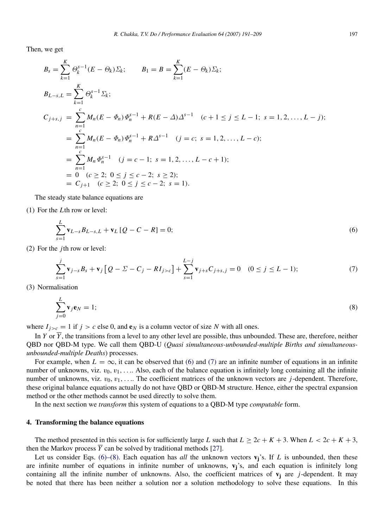Then, we get

$$
B_{s} = \sum_{k=1}^{K} \Theta_{k}^{s-1} (E - \Theta_{k}) \Sigma_{k}; \qquad B_{1} = B = \sum_{k=1}^{K} (E - \Theta_{k}) \Sigma_{k};
$$
  
\n
$$
B_{L-s,L} = \sum_{k=1}^{K} \Theta_{k}^{s-1} \Sigma_{k};
$$
  
\n
$$
C_{j+s,j} = \sum_{n=1}^{c} M_{n} (E - \Phi_{n}) \Phi_{n}^{s-1} + R(E - \Delta) \Delta^{s-1} \quad (c+1 \le j \le L-1; \ s = 1, 2, ..., L-j);
$$
  
\n
$$
= \sum_{n=1}^{c} M_{n} (E - \Phi_{n}) \Phi_{n}^{s-1} + R \Delta^{s-1} \quad (j = c; \ s = 1, 2, ..., L - c);
$$
  
\n
$$
= \sum_{n=1}^{c} M_{n} \Phi_{n}^{s-1} \quad (j = c-1; \ s = 1, 2, ..., L - c + 1);
$$
  
\n
$$
= 0 \quad (c \ge 2; \ 0 \le j \le c - 2; \ s \ge 2);
$$
  
\n
$$
= C_{j+1} \quad (c \ge 2; \ 0 \le j \le c - 2; \ s = 1).
$$

The steady state balance equations are

(1) For the *L*th row or level:

<span id="page-6-1"></span>
$$
\sum_{s=1}^{L} \mathbf{v}_{L-s} B_{L-s,L} + \mathbf{v}_L [Q - C - R] = 0; \tag{6}
$$

(2) For the *j*th row or level:

<span id="page-6-2"></span>
$$
\sum_{s=1}^{j} \mathbf{v}_{j-s} B_s + \mathbf{v}_j \left[ Q - \Sigma - C_j - R I_{j > c} \right] + \sum_{s=1}^{L-j} \mathbf{v}_{j+s} C_{j+s,j} = 0 \quad (0 \le j \le L-1); \tag{7}
$$

(3) Normalisation

<span id="page-6-3"></span>
$$
\sum_{j=0}^{L} \mathbf{v}_j \mathbf{e}_N = 1; \tag{8}
$$

where  $I_{j>c} = 1$  if  $j > c$  else 0, and  $e_N$  is a column vector of size *N* with all ones.

In *Y* or  $\overline{Y}$ , the transitions from a level to any other level are possible, thus unbounded. These are, therefore, neither QBD nor QBD-M type. We call them QBD-U (*Quasi simultaneous-unbounded-multiple Births and simultaneousunbounded-multiple Deaths*) processes.

For example, when  $L = \infty$ , it can be observed that [\(6\)](#page-6-1) and [\(7\)](#page-6-2) are an infinite number of equations in an infinite number of unknowns, viz.  $v_0, v_1, \ldots$  Also, each of the balance equation is infinitely long containing all the infinite number of unknowns, viz.  $v_0, v_1, \ldots$  The coefficient matrices of the unknown vectors are *j*-dependent. Therefore, these original balance equations actually do not have QBD or QBD-M structure. Hence, either the spectral expansion method or the other methods cannot be used directly to solve them.

In the next section we *transform* this system of equations to a QBD-M type *computable* form.

# <span id="page-6-0"></span>4. Transforming the balance equations

The method presented in this section is for sufficiently large *L* such that  $L \geq 2c + K + 3$ . When  $L < 2c + K + 3$ , then the Markov process  $\overline{Y}$  can be solved by traditional methods [\[27\]](#page-17-17).

Let us consider Eqs. [\(6\)–\(8\).](#page-6-1) Each equation has *all* the unknown vectors  $v_j$ 's. If *L* is unbounded, then these are infinite number of equations in infinite number of unknowns,  $v_j$ 's, and each equation is infinitely long containing all the infinite number of unknowns. Also, the coefficient matrices of  $v_i$  are *j*-dependent. It may be noted that there has been neither a solution nor a solution methodology to solve these equations. In this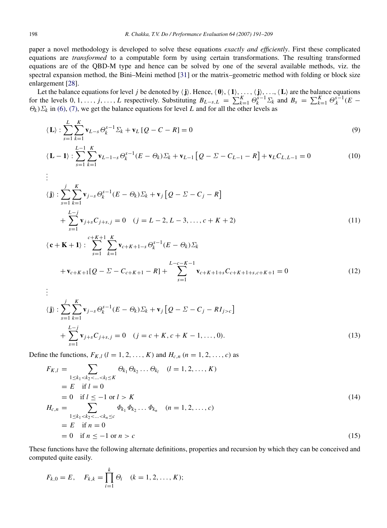paper a novel methodology is developed to solve these equations *exactly and efficiently*. First these complicated equations are *transformed* to a computable form by using certain transformations. The resulting transformed equations are of the QBD-M type and hence can be solved by one of the several available methods, viz. the spectral expansion method, the Bini–Meini method [\[31\]](#page-17-18) or the matrix–geometric method with folding or block size enlargement [\[28\]](#page-17-19).

Let the balance equations for level *j* be denoted by  $\langle j \rangle$ . Hence,  $\langle 0 \rangle$ ,  $\langle 1 \rangle$ , ...,  $\langle j \rangle$ , ...,  $\langle L \rangle$  are the balance equations for the levels 0, 1, ..., j, ..., L respectively. Substituting  $B_{L-s,L} = \sum_{k=1}^{K} \Theta_k^{s-1} \Sigma_k$  and  $B_s = \sum_{k=1}^{K} \Theta_k^{s-1} (E \Theta_k$ )  $\Sigma_k$  in [\(6\),](#page-6-1) [\(7\),](#page-6-2) we get the balance equations for level *L* and for all the other levels as

$$
\langle \mathbf{L} \rangle : \sum_{s=1}^{L} \sum_{k=1}^{K} \mathbf{v}_{L-s} \, \Theta_k^{s-1} \, \Sigma_k + \mathbf{v}_L \left[ Q - C - R \right] = 0 \tag{9}
$$

$$
\langle \mathbf{L} - \mathbf{1} \rangle : \sum_{s=1}^{L-1} \sum_{k=1}^{K} \mathbf{v}_{L-1-s} \, \Theta_k^{s-1} (E - \Theta_k) \Sigma_k + \mathbf{v}_{L-1} \left[ Q - \Sigma - C_{L-1} - R \right] + \mathbf{v}_L C_{L,L-1} = 0 \tag{10}
$$

$$
\begin{aligned}\n\vdots \\
\langle \mathbf{j} \rangle &:\n\sum_{s=1}^{j} \sum_{k=1}^{K} \mathbf{v}_{j-s} \Theta_k^{s-1} (E - \Theta_k) \Sigma_k + \mathbf{v}_j \left[ Q - \Sigma - C_j - R \right] \\
&\quad + \sum_{s=1}^{L-j} \mathbf{v}_{j+s} C_{j+s,j} = 0 \quad (j = L - 2, L - 3, \dots, c + K + 2) \\
\langle \mathbf{c} + \mathbf{K} + \mathbf{1} \rangle &:\n\sum_{s=1}^{c+K+1} \sum_{k=1}^{K} \mathbf{v}_{c+K+1-s} \Theta_k^{s-1} (E - \Theta_k) \Sigma_k\n\end{aligned}\n\tag{11}
$$

$$
s=1 \quad k=1
$$
\n
$$
+ \mathbf{v}_{c+K+1}[Q - \Sigma - C_{c+K+1} - R] + \sum_{s=1}^{L-c-K-1} \mathbf{v}_{c+K+1+s} C_{c+K+1+s,c+K+1} = 0
$$
\n(12)

$$
\begin{aligned}\n\vdots \\
\langle \mathbf{j} \rangle &= \sum_{s=1}^{j} \sum_{k=1}^{K} \mathbf{v}_{j-s} \Theta_k^{s-1} (E - \Theta_k) \Sigma_k + \mathbf{v}_j \left[ Q - \Sigma - C_j - R I_{j > c} \right] \\
&+ \sum_{s=1}^{L-j} \mathbf{v}_{j+s} C_{j+s,j} = 0 \quad (j = c + K, c + K - 1, \dots, 0).\n\end{aligned} \tag{13}
$$

Define the functions,  $F_{K,l}$  ( $l = 1, 2, ..., K$ ) and  $H_{c,n}$  ( $n = 1, 2, ..., c$ ) as

$$
F_{K,l} = \sum_{1 \le k_1 < k_2 < \dots < k_l \le K} \Theta_{k_1} \Theta_{k_2} \dots \Theta_{k_l} \quad (l = 1, 2, \dots, K)
$$
\n
$$
= E \quad \text{if } l = 0
$$
\n
$$
= 0 \quad \text{if } l \le -1 \text{ or } l > K
$$
\n
$$
H_{c,n} = \sum_{1 \le k_1 < k_2 < \dots < k_n \le c} \Phi_{k_1} \Phi_{k_2} \dots \Phi_{k_n} \quad (n = 1, 2, \dots, c)
$$
\n
$$
= E \quad \text{if } n = 0
$$
\n
$$
= 0 \quad \text{if } n \le -1 \text{ or } n > c \tag{15}
$$

These functions have the following alternate definitions, properties and recursion by which they can be conceived and computed quite easily.

$$
F_{k,0} = E
$$
,  $F_{k,k} = \prod_{i=1}^{k} \Theta_i$   $(k = 1, 2, ..., K);$ 

.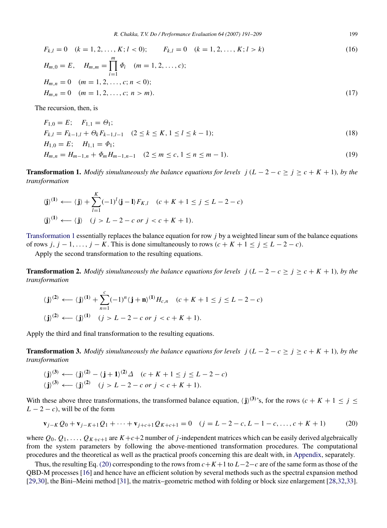$$
F_{k,l} = 0 \quad (k = 1, 2, ..., K; l < 0); \qquad F_{k,l} = 0 \quad (k = 1, 2, ..., K; l > k) \tag{16}
$$
\n
$$
H_{m,0} = E, \quad H_{m,m} = \prod_{i=1}^{m} \Phi_i \quad (m = 1, 2, ..., c);
$$
\n
$$
H_{m,n} = 0 \quad (m = 1, 2, ..., c; n < 0);
$$
\n
$$
H_{m,n} = 0 \quad (m = 1, 2, ..., c; n > m). \tag{17}
$$

The recursion, then, is

$$
F_{1,0} = E; \quad F_{1,1} = \Theta_1; \nF_{k,l} = F_{k-1,l} + \Theta_k F_{k-1,l-1} \quad (2 \le k \le K, 1 \le l \le k-1); \nH_{1,0} = E; \quad H_{1,1} = \Phi_1; \nH_{m,n} = H_{m-1,n} + \Phi_m H_{m-1,n-1} \quad (2 \le m \le c, 1 \le n \le m-1).
$$
\n(19)

**Transformation 1.** *Modify simultaneously the balance equations for levels j (L – 2 – c*  $\geq j \geq c + K + 1$ *), by the transformation*

<span id="page-8-0"></span>
$$
\langle \mathbf{j} \rangle^{(1)} \longleftarrow \langle \mathbf{j} \rangle + \sum_{l=1}^{K} (-1)^{l} \langle \mathbf{j} - \mathbf{l} \rangle F_{K,l} \quad (c + K + 1 \le j \le L - 2 - c)
$$
  

$$
\langle \mathbf{j} \rangle^{(1)} \longleftarrow \langle \mathbf{j} \rangle \quad (j > L - 2 - c \text{ or } j < c + K + 1).
$$

[Transformation 1](#page-8-0) essentially replaces the balance equation for row *j* by a weighted linear sum of the balance equations of rows  $j, j - 1, \ldots, j - K$ . This is done simultaneously to rows  $(c + K + 1 \le j \le L - 2 - c)$ .

Apply the second transformation to the resulting equations.

**Transformation 2.** *Modify simultaneously the balance equations for levels j (L – 2 – c*  $\geq j \geq c + K + 1$ *), by the transformation*

<span id="page-8-2"></span>
$$
\langle \mathbf{j} \rangle^{(2)} \longleftarrow \langle \mathbf{j} \rangle^{(1)} + \sum_{n=1}^{c} (-1)^n \langle \mathbf{j} + \mathbf{n} \rangle^{(1)} H_{c,n} \quad (c + K + 1 \le j \le L - 2 - c)
$$
  

$$
\langle \mathbf{j} \rangle^{(2)} \longleftarrow \langle \mathbf{j} \rangle^{(1)} \quad (j > L - 2 - c \text{ or } j < c + K + 1).
$$

Apply the third and final transformation to the resulting equations.

**Transformation 3.** *Modify simultaneously the balance equations for levels j (L – 2 – c*  $\geq j \geq c + K + 1$ *), by the transformation*

<span id="page-8-3"></span>
$$
\langle \mathbf{j} \rangle^{(3)} \longleftarrow \langle \mathbf{j} \rangle^{(2)} - \langle \mathbf{j} + 1 \rangle^{(2)} \triangleq (c + K + 1 \le j \le L - 2 - c)
$$
  

$$
\langle \mathbf{j} \rangle^{(3)} \longleftarrow \langle \mathbf{j} \rangle^{(2)} \quad (j > L - 2 - c \text{ or } j < c + K + 1).
$$

With these above three transformations, the transformed balance equation,  $\langle \mathbf{j} \rangle^{(3)}$ 's, for the rows  $(c + K + 1 \le j \le k)$  $L - 2 - c$ , will be of the form

<span id="page-8-1"></span>
$$
\mathbf{v}_{j-K}Q_0 + \mathbf{v}_{j-K+1}Q_1 + \dots + \mathbf{v}_{j+c+1}Q_{K+c+1} = 0 \quad (j = L-2-c, L-1-c, \dots, c+K+1) \tag{20}
$$

where  $Q_0, Q_1, \ldots, Q_{K+c+1}$  are  $K+c+2$  number of *j*-independent matrices which can be easily derived algebraically from the system parameters by following the above-mentioned transformation procedures. The computational procedures and the theoretical as well as the practical proofs concerning this are dealt with, in [Appendix,](#page-13-1) separately.

Thus, the resulting Eq. [\(20\)](#page-8-1) corresponding to the rows from  $c + K + 1$  to  $L-2-c$  are of the same form as those of the QBD-M processes [\[16\]](#page-17-6) and hence have an efficient solution by several methods such as the spectral expansion method [\[29](#page-17-20)[,30\]](#page-17-21), the Bini–Meini method [\[31\]](#page-17-18), the matrix–geometric method with folding or block size enlargement [\[28,](#page-17-19)[32,](#page-17-22)[33\]](#page-17-23).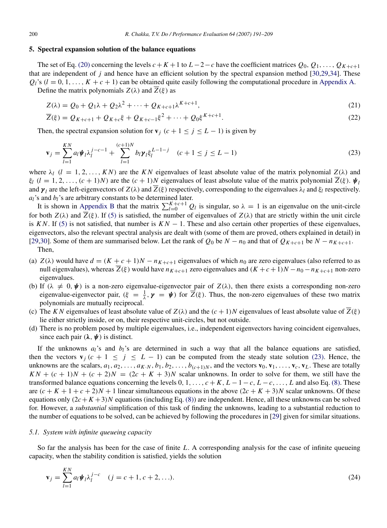## <span id="page-9-0"></span>5. Spectral expansion solution of the balance equations

The set of Eq. [\(20\)](#page-8-1) concerning the levels  $c + K + 1$  to  $L - 2 - c$  have the coefficient matrices  $Q_0, Q_1, \ldots, Q_{K+c+1}$ that are independent of *j* and hence have an efficient solution by the spectral expansion method [\[30](#page-17-21)[,29](#page-17-20)[,34\]](#page-17-24). These  $Q_l$ 's ( $l = 0, 1, \ldots, K + c + 1$ ) can be obtained quite easily following the computational procedure in [Appendix A.](#page-13-1) Define the matrix polynomials  $Z(\lambda)$  and  $\overline{Z}(\xi)$  as

$$
Z(\lambda) = Q_0 + Q_1 \lambda + Q_2 \lambda^2 + \dots + Q_{K+c+1} \lambda^{K+c+1},
$$
\n(21)

$$
\overline{Z}(\xi) = Q_{K+c+1} + Q_{K+c}\xi + Q_{K+c-1}\xi^{2} + \dots + Q_{0}\xi^{K+c+1}.
$$
\n(22)

Then, the spectral expansion solution for  $v_j$  ( $c + 1 \le j \le L - 1$ ) is given by

<span id="page-9-1"></span>
$$
\mathbf{v}_{j} = \sum_{l=1}^{KN} a_{l} \mathbf{\psi}_{l} \lambda_{l}^{j-c-1} + \sum_{l=1}^{(c+1)N} b_{l} \mathbf{\gamma}_{l} \xi_{l}^{L-1-j} \quad (c+1 \leq j \leq L-1)
$$
\n(23)

where  $\lambda_l$  (*l* = 1, 2, ..., *KN*) are the *KN* eigenvalues of least absolute value of the matrix polynomial  $Z(\lambda)$  and  $\xi_l$  (*l* = 1, 2, ..., (*c* + 1)*N*) are the (*c* + 1)*N* eigenvalues of least absolute value of the matrix polynomial  $\overline{Z}(\xi)$ .  $\psi_l$ and  $\gamma_l$  are the left-eigenvectors of  $Z(\lambda)$  and  $Z(\xi)$  respectively, corresponding to the eigenvalues  $\lambda_l$  and  $\xi_l$  respectively.  $a_l$ 's and  $b_l$ 's are arbitrary constants to be determined later.

It is shown in [Appendix B](#page-16-3) that the matrix  $\sum_{l=0}^{K+c+1} Q_l$  is singular, so  $\lambda = 1$  is an eigenvalue on the unit-circle for both  $Z(\lambda)$  and  $\overline{Z}(\xi)$ . If [\(5\)](#page-4-1) is satisfied, the number of eigenvalues of  $Z(\lambda)$  that are strictly within the unit circle is *KN*. If [\(5\)](#page-4-1) is not satisfied, that number is  $KN - 1$ . These and also certain other properties of these eigenvalues, eigenvectors, also the relevant spectral analysis are dealt with (some of them are proved, others explained in detail) in [\[29,](#page-17-20)[30\]](#page-17-21). Some of them are summarised below. Let the rank of  $Q_0$  be  $N - n_0$  and that of  $Q_{K+c+1}$  be  $N - n_{K+c+1}$ . Then,

- (a)  $Z(\lambda)$  would have  $d = (K + c + 1)N n_{K+c+1}$  eigenvalues of which  $n_0$  are zero eigenvalues (also referred to as null eigenvalues), whereas  $\overline{Z}(\xi)$  would have  $n_{K+c+1}$  zero eigenvalues and  $(K+c+1)N - n_0 - n_{K+c+1}$  non-zero eigenvalues.
- (b) If  $(\lambda \neq 0, \psi)$  is a non-zero eigenvalue-eigenvector pair of  $Z(\lambda)$ , then there exists a corresponding non-zero eigenvalue-eigenvector pair,  $(\xi = \frac{1}{\lambda}, \gamma = \psi)$  for  $\overline{Z}(\xi)$ . Thus, the non-zero eigenvalues of these two matrix polynomials are mutually reciprocal.
- (c) The *KN* eigenvalues of least absolute value of  $Z(\lambda)$  and the  $(c+1)N$  eigenvalues of least absolute value of  $\overline{Z}(\xi)$ lie either strictly inside, or on, their respective unit-circles, but not outside.
- (d) There is no problem posed by multiple eigenvalues, i.e., independent eigenvectors having coincident eigenvalues, since each pair  $(\lambda, \psi)$  is distinct.

If the unknowns  $a_l$ 's and  $b_l$ 's are determined in such a way that all the balance equations are satisfied, then the vectors  $\mathbf{v}_j$  ( $c + 1 \le j \le L - 1$ ) can be computed from the steady state solution [\(23\).](#page-9-1) Hence, the unknowns are the scalars,  $a_1, a_2, \ldots, a_{K \cdot N}, b_1, b_2, \ldots, b_{(c+1)N}$ , and the vectors  $\mathbf{v}_0, \mathbf{v}_1, \ldots, \mathbf{v}_c, \mathbf{v}_L$ . These are totally  $KN + (c + 1)N + (c + 2)N = (2c + K + 3)N$  scalar unknowns. In order to solve for them, we still have the transformed balance equations concerning the levels  $0, 1, \ldots, c + K, L - 1 - c, L - c, \ldots, L$  and also Eq. [\(8\).](#page-6-3) These are  $(c + K + 1 + c + 2)N + 1$  linear simultaneous equations in the above  $(2c + K + 3)N$  scalar unknowns. Of these equations only  $(2c+K+3)N$  equations (including Eq. [\(8\)\)](#page-6-3) are independent. Hence, all these unknowns can be solved for. However, a *substantial* simplification of this task of finding the unknowns, leading to a substantial reduction to the number of equations to be solved, can be achieved by following the procedures in [\[29\]](#page-17-20) given for similar situations.

#### *5.1. System with infinite queueing capacity*

So far the analysis has been for the case of finite *L*. A corresponding analysis for the case of infinite queueing capacity, when the stability condition is satisfied, yields the solution

<span id="page-9-2"></span>
$$
\mathbf{v}_{j} = \sum_{l=1}^{KN} a_{l} \mathbf{\psi}_{l} \lambda_{l}^{j-c} \quad (j = c+1, c+2, \ldots). \tag{24}
$$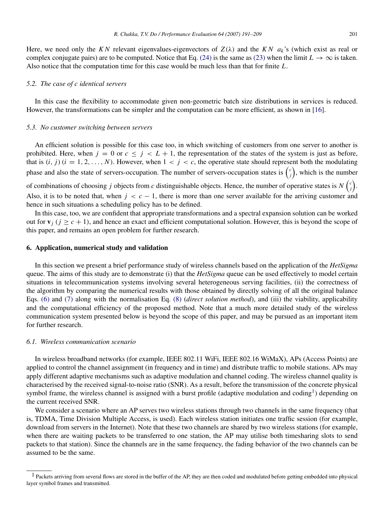Here, we need only the *KN* relevant eigenvalues-eigenvectors of  $Z(\lambda)$  and the *KN*  $a_k$ 's (which exist as real or complex conjugate pairs) are to be computed. Notice that Eq. [\(24\)](#page-9-2) is the same as [\(23\)](#page-9-1) when the limit  $L \to \infty$  is taken. Also notice that the computation time for this case would be much less than that for finite *L*.

#### *5.2. The case of c identical servers*

In this case the flexibility to accommodate given non-geometric batch size distributions in services is reduced. However, the transformations can be simpler and the computation can be more efficient, as shown in [\[16\]](#page-17-6).

#### <span id="page-10-1"></span>*5.3. No customer switching between servers*

An efficient solution is possible for this case too, in which switching of customers from one server to another is prohibited. Here, when  $j = 0$  or  $c \leq j \leq L + 1$ , the representation of the states of the system is just as before, that is  $(i, j)$   $(i = 1, 2, \ldots, N)$ . However, when  $1 < j < c$ , the operative state should represent both the modulating phase and also the state of servers-occupation. The number of servers-occupation states is  $\binom{c}{j}$ , which is the number

of combinations of choosing *j* objects from *c* distinguishable objects. Hence, the number of operative states is  $N\binom{c}{j}$ . Also, it is to be noted that, when  $j < c - 1$ , there is more than one server available for the arriving customer and hence in such situations a scheduling policy has to be defined.

In this case, too, we are confident that appropriate transformations and a spectral expansion solution can be worked out for  $\mathbf{v}_i$  ( $j > c + 1$ ), and hence an exact and efficient computational solution. However, this is beyond the scope of this paper, and remains an open problem for further research.

# <span id="page-10-0"></span>6. Application, numerical study and validation

In this section we present a brief performance study of wireless channels based on the application of the *HetSigma* queue. The aims of this study are to demonstrate (i) that the *HetSigma* queue can be used effectively to model certain situations in telecommunication systems involving several heterogeneous serving facilities, (ii) the correctness of the algorithm by comparing the numerical results with those obtained by directly solving of all the original balance Eqs. [\(6\)](#page-6-1) and [\(7\)](#page-6-2) along with the normalisation Eq. [\(8\)](#page-6-3) (*direct solution method*), and (iii) the viability, applicability and the computational efficiency of the proposed method. Note that a much more detailed study of the wireless communication system presented below is beyond the scope of this paper, and may be pursued as an important item for further research.

# *6.1. Wireless communication scenario*

In wireless broadband networks (for example, IEEE 802.11 WiFi, IEEE 802.16 WiMaX), APs (Access Points) are applied to control the channel assignment (in frequency and in time) and distribute traffic to mobile stations. APs may apply different adaptive mechanisms such as adaptive modulation and channel coding. The wireless channel quality is characterised by the received signal-to-noise ratio (SNR). As a result, before the transmission of the concrete physical symbol frame, the wireless channel is assigned with a burst profile (adaptive modulation and coding<sup>[1](#page-10-2)</sup>) depending on the current received SNR.

We consider a scenario where an AP serves two wireless stations through two channels in the same frequency (that is, TDMA, Time Division Multiple Access, is used). Each wireless station initiates one traffic session (for example, download from servers in the Internet). Note that these two channels are shared by two wireless stations (for example, when there are waiting packets to be transferred to one station, the AP may utilise both timesharing slots to send packets to that station). Since the channels are in the same frequency, the fading behavior of the two channels can be assumed to be the same.

<span id="page-10-2"></span><sup>&</sup>lt;sup>1</sup> Packets arriving from several flows are stored in the buffer of the AP, they are then coded and modulated before getting embedded into physical layer symbol frames and transmitted.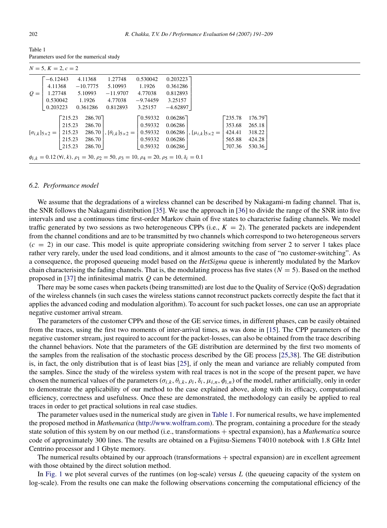<span id="page-11-0"></span>

| Table 1                                 |  |
|-----------------------------------------|--|
| Parameters used for the numerical study |  |

| $N = 5, K = 2, c = 2$                                                                                                                                                                                                                                                                                                  |                 |                 |            |            |                  |                                   |  |  |
|------------------------------------------------------------------------------------------------------------------------------------------------------------------------------------------------------------------------------------------------------------------------------------------------------------------------|-----------------|-----------------|------------|------------|------------------|-----------------------------------|--|--|
|                                                                                                                                                                                                                                                                                                                        | $-6.12443$      |                 | 4.11368    | 1.27748    | 0.530042         | 0.203223                          |  |  |
|                                                                                                                                                                                                                                                                                                                        | 4.11368         |                 | $-10.7775$ | 5.10993    | 1.1926           | 0.361286                          |  |  |
|                                                                                                                                                                                                                                                                                                                        | $Q =   1.27748$ |                 | 5.10993    | $-11.9707$ | 4.77038          | 0.812893                          |  |  |
|                                                                                                                                                                                                                                                                                                                        | 0.530042 1.1926 |                 |            | 4.77038    | $-9.74459$       | 3.25157                           |  |  |
|                                                                                                                                                                                                                                                                                                                        | 0.203223        |                 | 0.361286   | 0.812893   | 3.25157          | $-4.62897$                        |  |  |
| $[\sigma_{i,k}]_{5\times2} = \begin{bmatrix} 215.23 & 286.70 \\ 215.23 & 286.70 \\ 215.23 & 286.70 \\ 215.23 & 286.70 \\ 215.23 & 286.70 \\ 215.23 & 286.70 \\ \end{bmatrix}, [\theta_{i,k}]_{5\times2} = \begin{bmatrix} 0.59332 & 0.06286 \\ 0.59332 & 0.06286 \\ 0.59332 & 0.06286 \\ 0.59332 & 0.06286 \\ 0.59332$ |                 | $\sqrt{215.23}$ | 286.70     |            | $\sqrt{0.59332}$ | 0.06286<br>Late 235.78<br>176.797 |  |  |
|                                                                                                                                                                                                                                                                                                                        |                 |                 |            |            |                  | 265.18                            |  |  |
|                                                                                                                                                                                                                                                                                                                        |                 |                 |            |            |                  | 318.22                            |  |  |
|                                                                                                                                                                                                                                                                                                                        |                 |                 |            |            | 424.28           |                                   |  |  |
|                                                                                                                                                                                                                                                                                                                        |                 |                 |            |            |                  | 530.36                            |  |  |
| $\phi_{i,k} = 0.12 \, (\forall i, k), \rho_1 = 30, \rho_2 = 50, \rho_3 = 10, \rho_4 = 20, \rho_5 = 10, \delta_i = 0.1$                                                                                                                                                                                                 |                 |                 |            |            |                  |                                   |  |  |

#### *6.2. Performance model*

We assume that the degradations of a wireless channel can be described by Nakagami-m fading channel. That is, the SNR follows the Nakagami distribution [\[35\]](#page-17-25). We use the approach in [\[36\]](#page-17-26) to divide the range of the SNR into five intervals and use a continuous time first-order Markov chain of five states to characterise fading channels. We model traffic generated by two sessions as two heterogeneous CPPs (i.e.,  $K = 2$ ). The generated packets are independent from the channel conditions and are to be transmitted by two channels which correspond to two heterogeneous servers  $(c = 2)$  in our case. This model is quite appropriate considering switching from server 2 to server 1 takes place rather very rarely, under the used load conditions, and it almost amounts to the case of "no customer-switching". As a consequence, the proposed queueing model based on the *HetSigma* queue is inherently modulated by the Markov chain characterising the fading channels. That is, the modulating process has five states  $(N = 5)$ . Based on the method proposed in [\[37\]](#page-17-27) the infinitesimal matrix *Q* can be determined.

There may be some cases when packets (being transmitted) are lost due to the Quality of Service (QoS) degradation of the wireless channels (in such cases the wireless stations cannot reconstruct packets correctly despite the fact that it applies the advanced coding and modulation algorithm). To account for such packet losses, one can use an appropriate negative customer arrival stream.

The parameters of the customer CPPs and those of the GE service times, in different phases, can be easily obtained from the traces, using the first two moments of inter-arrival times, as was done in [\[15\]](#page-17-5). The CPP parameters of the negative customer stream, just required to account for the packet-losses, can also be obtained from the trace describing the channel behaviors. Note that the parameters of the GE distribution are determined by the first two moments of the samples from the realisation of the stochastic process described by the GE process [\[25,](#page-17-15)[38\]](#page-17-28). The GE distribution is, in fact, the only distribution that is of least bias [\[25\]](#page-17-15), if only the mean and variance are reliably computed from the samples. Since the study of the wireless system with real traces is not in the scope of the present paper, we have chosen the numerical values of the parameters  $(\sigma_{i,k}, \theta_{i,k}, \rho_i, \delta_i, \mu_{i,n}, \phi_{i,n})$  of the model, rather artificially, only in order to demonstrate the applicability of our method to the case explained above, along with its efficacy, computational efficiency, correctness and usefulness. Once these are demonstrated, the methodology can easily be applied to real traces in order to get practical solutions in real case studies.

The parameter values used in the numerical study are given in [Table 1.](#page-11-0) For numerical results, we have implemented the proposed method in *Mathematica* [\(http://www.wolfram.com\)](http://www.wolfram.com). The program, containing a procedure for the steady state solution of this system by on our method (i.e., transformations + spectral expansion), has a *Mathematica* source code of approximately 300 lines. The results are obtained on a Fujitsu-Siemens T4010 notebook with 1.8 GHz Intel Centrino processor and 1 Gbyte memory.

The numerical results obtained by our approach (transformations + spectral expansion) are in excellent agreement with those obtained by the direct solution method.

In [Fig. 1](#page-12-0) we plot several curves of the runtimes (on log-scale) versus L (the queueing capacity of the system on log-scale). From the results one can make the following observations concerning the computational efficiency of the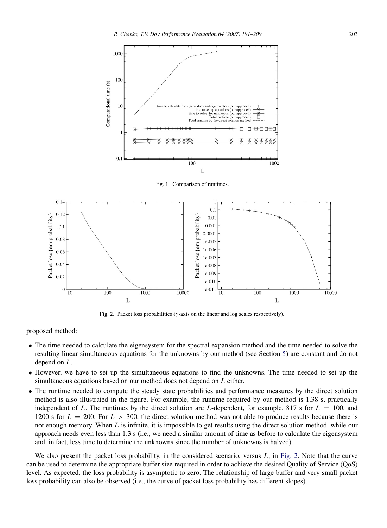<span id="page-12-0"></span>

Fig. 1. Comparison of runtimes.

<span id="page-12-1"></span>

Fig. 2. Packet loss probabilities (*y*-axis on the linear and log scales respectively).

proposed method:

- The time needed to calculate the eigensystem for the spectral expansion method and the time needed to solve the resulting linear simultaneous equations for the unknowns by our method (see Section [5\)](#page-9-0) are constant and do not depend on *L*.
- However, we have to set up the simultaneous equations to find the unknowns. The time needed to set up the simultaneous equations based on our method does not depend on *L* either.
- The runtime needed to compute the steady state probabilities and performance measures by the direct solution method is also illustrated in the figure. For example, the runtime required by our method is 1.38 s, practically independent of L. The runtimes by the direct solution are L-dependent, for example, 817 s for  $L = 100$ , and 1200 s for  $L = 200$ . For  $L > 300$ , the direct solution method was not able to produce results because there is not enough memory. When *L* is infinite, it is impossible to get results using the direct solution method, while our approach needs even less than 1.3 s (i.e., we need a similar amount of time as before to calculate the eigensystem and, in fact, less time to determine the unknowns since the number of unknowns is halved).

We also present the packet loss probability, in the considered scenario, versus *L*, in [Fig. 2.](#page-12-1) Note that the curve can be used to determine the appropriate buffer size required in order to achieve the desired Quality of Service (QoS) level. As expected, the loss probability is asymptotic to zero. The relationship of large buffer and very small packet loss probability can also be observed (i.e., the curve of packet loss probability has different slopes).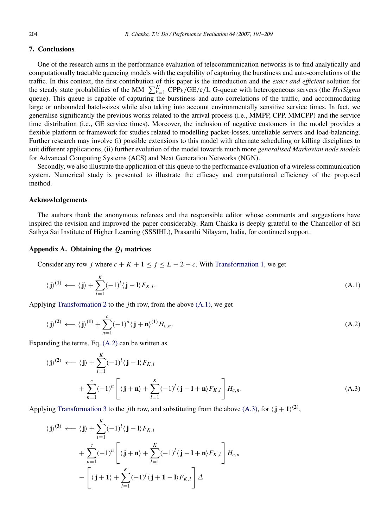# <span id="page-13-0"></span>7. Conclusions

One of the research aims in the performance evaluation of telecommunication networks is to find analytically and computationally tractable queueing models with the capability of capturing the burstiness and auto-correlations of the traffic. In this context, the first contribution of this paper is the introduction and the *exact and efficient* solution for the steady state probabilities of the MM  $\sum_{k=1}^{K} \text{CPP}_k/\text{GE/c/L}$  G-queue with heterogeneous servers (the *HetSigma* queue). This queue is capable of capturing the burstiness and auto-correlations of the traffic, and accommodating large or unbounded batch-sizes while also taking into account environmentally sensitive service times. In fact, we generalise significantly the previous works related to the arrival process (i.e., MMPP, CPP, MMCPP) and the service time distribution (i.e., GE service times). Moreover, the inclusion of negative customers in the model provides a flexible platform or framework for studies related to modelling packet-losses, unreliable servers and load-balancing. Further research may involve (i) possible extensions to this model with alternate scheduling or killing disciplines to suit different applications, (ii) further evolution of the model towards much more *generalised Markovian node models* for Advanced Computing Systems (ACS) and Next Generation Networks (NGN).

Secondly, we also illustrate the application of this queue to the performance evaluation of a wireless communication system. Numerical study is presented to illustrate the efficacy and computational efficiency of the proposed method.

# Acknowledgements

The authors thank the anonymous referees and the responsible editor whose comments and suggestions have inspired the revision and improved the paper considerably. Ram Chakka is deeply grateful to the Chancellor of Sri Sathya Sai Institute of Higher Learning (SSSIHL), Prasanthi Nilayam, India, for continued support.

#### Appendix A. Obtaining the *Q<sup>l</sup>* matrices

<span id="page-13-1"></span>Consider any row *j* where  $c + K + 1 \le j \le L - 2 - c$ . With [Transformation 1,](#page-8-0) we get

<span id="page-13-2"></span>
$$
\langle \mathbf{j} \rangle^{(1)} \leftarrow \langle \mathbf{j} \rangle + \sum_{l=1}^{K} (-1)^{l} \langle \mathbf{j} - \mathbf{l} \rangle F_{K,l}.
$$
\n(A.1)

Applying [Transformation 2](#page-8-2) to the *j*th row, from the above [\(A.1\),](#page-13-2) we get

<span id="page-13-3"></span>
$$
\langle \mathbf{j} \rangle^{(2)} \leftarrow \langle \mathbf{j} \rangle^{(1)} + \sum_{n=1}^{c} (-1)^n \langle \mathbf{j} + \mathbf{n} \rangle^{(1)} H_{c,n}.
$$
\n(A.2)

Expanding the terms, Eq. [\(A.2\)](#page-13-3) can be written as

<span id="page-13-4"></span>
$$
\langle \mathbf{j} \rangle^{(2)} \longleftarrow \langle \mathbf{j} \rangle + \sum_{l=1}^{K} (-1)^{l} \langle \mathbf{j} - \mathbf{l} \rangle F_{K,l} + \sum_{l=1}^{C} (-1)^{n} \left[ \langle \mathbf{j} + \mathbf{n} \rangle + \sum_{l=1}^{K} (-1)^{l} \langle \mathbf{j} - \mathbf{l} + \mathbf{n} \rangle F_{K,l} \right] H_{c,n}.
$$
\n(A.3)

Applying [Transformation 3](#page-8-3) to the *j*th row, and substituting from the above [\(A.3\),](#page-13-4) for  $\langle j + 1 \rangle^{(2)}$ ,

$$
\langle \mathbf{j} \rangle^{(3)} \longleftarrow \langle \mathbf{j} \rangle + \sum_{l=1}^{K} (-1)^{l} \langle \mathbf{j} - \mathbf{l} \rangle F_{K,l}
$$
  
+ 
$$
\sum_{n=1}^{C} (-1)^{n} \left[ \langle \mathbf{j} + \mathbf{n} \rangle + \sum_{l=1}^{K} (-1)^{l} \langle \mathbf{j} - \mathbf{l} + \mathbf{n} \rangle F_{K,l} \right] H_{c,n}
$$
  
- 
$$
\left[ \langle \mathbf{j} + \mathbf{1} \rangle + \sum_{l=1}^{K} (-1)^{l} \langle \mathbf{j} + \mathbf{1} - \mathbf{l} \rangle F_{K,l} \right] \Delta
$$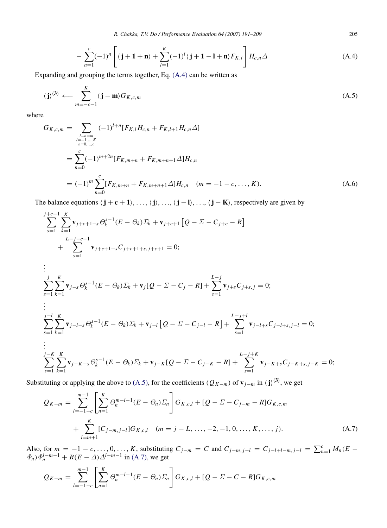*R. Chakka, T.V. Do / Performance Evaluation 64 (2007) 191–209* 205

$$
-\sum_{n=1}^{c}(-1)^{n}\left[\langle \mathbf{j}+\mathbf{1}+\mathbf{n}\rangle+\sum_{l=1}^{K}(-1)^{l}\langle \mathbf{j}+\mathbf{1}-\mathbf{l}+\mathbf{n}\rangle F_{K,l}\right]H_{c,n}\Delta
$$
\n(A.4)

Expanding and grouping the terms together, Eq. [\(A.4\)](#page-14-0) can be written as

$$
\langle \mathbf{j} \rangle^{(3)} \longleftarrow \sum_{m=-c-1}^{K} \langle \mathbf{j} - \mathbf{m} \rangle G_{K,c,m} \tag{A.5}
$$

where

$$
G_{K,c,m} = \sum_{\substack{l=n=m\\n=0,\dots,c}} (-1)^{l+n} [F_{K,l} H_{c,n} + F_{K,l+1} H_{c,n} \Delta]
$$
  
= 
$$
\sum_{n=0}^{c} (-1)^{m+2n} [F_{K,m+n} + F_{K,m+n+1} \Delta] H_{c,n}
$$
  
= 
$$
(-1)^m \sum_{n=0}^{c} [F_{K,m+n} + F_{K,m+n+1} \Delta] H_{c,n} \quad (m = -1 - c, \dots, K).
$$
 (A.6)

The balance equations  $\langle j + c + 1 \rangle, \ldots, \langle j \rangle, \ldots, \langle j - l \rangle, \ldots, \langle j - K \rangle$ , respectively are given by

$$
\sum_{s=1}^{j+c+1} \sum_{k=1}^{K} \mathbf{v}_{j+c+1-s} \Theta_k^{s-1} (E - \Theta_k) \Sigma_k + \mathbf{v}_{j+c+1} [Q - \Sigma - C_{j+c} - R] \n+ \sum_{s=1}^{L-j-c-1} \mathbf{v}_{j+c+1+s} C_{j+c+1+s,j+c+1} = 0; \n\vdots \n\sum_{s=1}^{j} \sum_{k=1}^{K} \mathbf{v}_{j-s} \Theta_k^{s-1} (E - \Theta_k) \Sigma_k + \mathbf{v}_j [Q - \Sigma - C_j - R] + \sum_{s=1}^{L-j} \mathbf{v}_{j+s} C_{j+s,j} = 0; \n\vdots \n\sum_{s=1}^{j-l} \sum_{k=1}^{K} \mathbf{v}_{j-l-s} \Theta_k^{s-1} (E - \Theta_k) \Sigma_k + \mathbf{v}_{j-l} [Q - \Sigma - C_{j-l} - R] + \sum_{s=1}^{L-j+l} \mathbf{v}_{j-l+s} C_{j-l+s,j-l} = 0; \n\vdots \n\sum_{s=1}^{j-K} \sum_{k=1}^{K} \mathbf{v}_{j-K-s} \Theta_k^{s-1} (E - \Theta_k) \Sigma_k + \mathbf{v}_{j-K} [Q - \Sigma - C_{j-K} - R] + \sum_{s=1}^{L-j+K} \mathbf{v}_{j-K+s} C_{j-K+s,j-K} = 0; \n\sum_{s=1}^{j-K} \sum_{k=1}^{K} \mathbf{v}_{j-K+s} \Theta_k^{s-1} (E - \Theta_k) \Sigma_k + \mathbf{v}_{j-K} [Q - \Sigma - C_{j-K} - R] + \sum_{s=1}^{L-j+K} \mathbf{v}_{j-K+s} C_{j-K+s,j-K} = 0;
$$

Substituting or applying the above to [\(A.5\),](#page-14-1) for the coefficients ( $Q_{K-m}$ ) of  $\mathbf{v}_{j-m}$  in  $\langle \mathbf{j} \rangle^{(3)}$ , we get

<span id="page-14-2"></span>
$$
Q_{K-m} = \sum_{l=-1-c}^{m-1} \left[ \sum_{n=1}^{K} \Theta_n^{m-l-1} (E - \Theta_n) \Sigma_n \right] G_{K,c,l} + [Q - \Sigma - C_{j-m} - R] G_{K,c,m}
$$
  
+ 
$$
\sum_{l=m+1}^{K} [C_{j-m,j-l}] G_{K,c,l} \quad (m = j - L, ..., -2, -1, 0, ..., K, ..., j). \tag{A.7}
$$

Also, for  $m = -1 - c, ..., 0, ..., K$ , substituting  $C_{j-m} = C$  and  $C_{j-m,j-l} = C_{j-l+l-m,j-l} = \sum_{n=1}^{C} M_n (E \Phi_n$ ) $\Phi_n^{l-m-1}$  +  $R(E - \Delta) \Delta^{l-m-1}$  in [\(A.7\),](#page-14-2) we get

$$
Q_{K-m} = \sum_{l=-1-c}^{m-1} \left[ \sum_{n=1}^{K} \Theta_{n}^{m-l-1} (E - \Theta_{n}) \Sigma_{n} \right] G_{K,c,l} + [Q - \Sigma - C - R] G_{K,c,m}
$$

<span id="page-14-3"></span><span id="page-14-1"></span><span id="page-14-0"></span>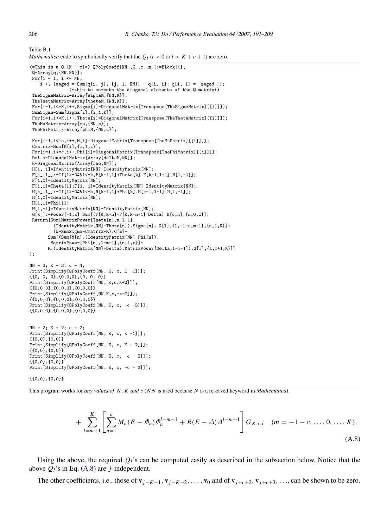<span id="page-15-1"></span>Table B.1

```
Mathematica code to symbolically verify that the Q_l (l < 0 or l > K + c + 1) are zero
```

```
(*This is a Q_{-}{K - m}*) QPolyCoeff[NN_, K_, c_, m_]:=Block[{},
 Q=Array[q, {NN, NN}];
 For[i = 1, i \leq NN,i++, {seged = Sum[q[i, j], {j, 1, NN}] - q[i, i]; q[i, i] = -seged }];
                 (*this to compute the diagonal elements of the Q matrix*)
 TheSigmaMatrix=Array[sigmaM, {NN, K}];
 TheThetaMatrix=Array[thetaM, {NN, K}];
 For[i=1,i<=K,i++,Sigma[i]=DiagonalMatrix[Transpose[TheSigmaMatrix][[i]]]];
 SumSigma=Sum[Sigma[i],{i,1,K}];
 For[i=1,i <= K, i++, Theta[i]=DiagonalMatrix[Transpose[TheThetaMatrix][[i]]]];
 TheMuMatrix=Array[mu,{NN,c}];
 ThePhiMatrix=Array[phiM, {NN, c}]
 For[i=1,i <= c, i + +, M[i] = DiagonalMatrix [Transpose [The MuMatrix] [[i]]]];
 Cmatrix=Sum[M[i],\{i,1,c\}];
 For[i=1, i<=c, i++, Phi[i]=DiagonalMatrix[Transpose[ThePhiMatrix][[i]]];Delta=DiagonalMatrix[Array[deltaM,NN]];
 R=DiagonalMatrix[Array[rho, NN]];
 H[1,-1]=IdentityMatrix[NN]-IdentityMatrix[NN];
 F[k_1, l_1]:=If [l>=0&l<k,k[k-1,1]+Theta[k].F[k-1, l-1], H[1,-1]];F[1,0] =IdentityMatrix[NN];
 F[1,1]=Theta[1];F[1,-1]=IdentityMatrix[NN]-IdentityMatrix[NN];
 \texttt{H[k_,1\_]}:=\!\!\texttt{If[1>=0&21<=k,H[k-1,1]+Phi[k].H[k-1,1-1],H[1,-1]]};H[1,0] =IdentityMatrix[NN];
 H[1,1] = Phi[1];H[1,-1]=IdentityMatrix[NN]-IdentityMatrix[NN];
 G[k_]:=Power[-1,k] Sum [(F[K,k+n]+F[K,k+n+1] Delta) H[c,n], \{n,0,c\}];Return[Sum[MatrixPower[Theta[n], m-1-1].
          (\texttt{IdentityMatrix[NN]-Theta[n]).}\ \texttt{Signal[n].}\ \texttt{G[1],\{1,-1-c,m-1\},\{n,1,K\}]}+(Q-SumSigma-Cmatrix-R).G[m]+
        Sum [(Sum [M[n]. (IdentityMatrix [NN]-Phi[n]).
         MatrixPower[Phi[n], 1-m-1], {n, 1, c}]+
        R. (IdentityMatrix[NN]-Delta). MatrixPower[Delta, 1-m-1]). G[1], {1, m+1, K}]]
\exists:
NN = 3; K = 3; c = 4;
Print[Simplify[QPolyCoeff[NN, K, c, K +1]]];
\{ \{0, 0, 0\}, \{0, 0, 0\}, \{0, 0, 0\} \}Print [Simplify [QPolyCoeff [NN, K, c, K+2]]];
\{ \{0,0,0\}, \{0,0,0\}, \{0,0,0\} \}Print [Simplify [QPolyCoeff [NN, K, c, -c-2]]];
\{ \{0,0,0\}, \{0,0,0\}, \{0,0,0\} \}Print[Simplify[QPolyCoeff[NN, K, c, -c -3]]];
\{ \{0,0,0\}, \{0,0,0\}, \{0,0,0\} \}NN = 2; K = 2; c = 2;
Print[Simplify[QPolyCoeff[NN, K, c, K +1]]];
\{0,0\},\{0,0\}Print[Simplify[QPolyCoeff[NN, K, c, K + 2]]];
\{0,0\},\{0,0\}\}Print [Simplify [QPolyCoeff [NN, K, c, -c - 2]]];
\{0,0\},\{0,0\}Print [Simplify [QPolyCoeff [NN, K, c, -c - 3]]];
\{0,0\},\{0,0\}\}
```
This program works for *any values of N*, *K and c* (*N N* is used because *N* is a reserved keyword in *Mathematica*).

<span id="page-15-0"></span>
$$
+\sum_{l=m+1}^{K}\left[\sum_{n=1}^{c}M_{n}(E-\Phi_{n})\Phi_{n}^{l-m-1}+R(E-\Delta)\Delta^{l-m-1}\right]G_{K,c,l} \quad (m=-1-c,\ldots,0,\ldots,K). \tag{A.8}
$$

Using the above, the required  $Q_l$ 's can be computed easily as described in the subsection below. Notice that the above  $Q_l$ 's in Eq. [\(A.8\)](#page-15-0) are *j*-independent.

The other coefficients, i.e., those of  $\mathbf{v}_{i-K-1}$ ,  $\mathbf{v}_{i-K-2}$ , ...,  $\mathbf{v}_0$  and of  $\mathbf{v}_{i+c+2}$ ,  $\mathbf{v}_{i+c+3}$ , ..., can be shown to be zero.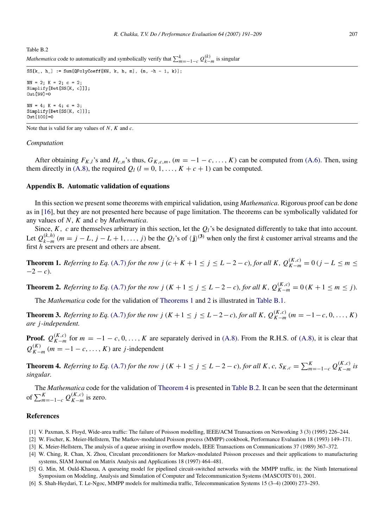<span id="page-16-7"></span>*Mathematica* code to automatically and symbolically verify that  $\sum_{m=-1-c}^{k} Q_{k-m}^{(k)}$  is singular

```
SS[k_, h_] := Sum[QPolyCoeff[NN, k, h, m], {m, -h - 1, k}];
NN = 2; K = 2; c = 2;
Simplify[Det[SS[K, c]]];
0ut [99] = 0
NN = 4; K = 4; c = 3;
Simplify[Det[SS[K, c]]];
0ut 1001=0
```
Note that is valid for any values of *N*, *K* and *c*.

#### *Computation*

After obtaining  $F_{K,l}$ 's and  $H_{c,n}$ 's thus,  $G_{K,c,m}$ ,  $(m = -1 - c, \ldots, K)$  can be computed from [\(A.6\).](#page-14-3) Then, using them directly in [\(A.8\),](#page-15-0) the required  $Q_l$  ( $l = 0, 1, ..., K + c + 1$ ) can be computed.

#### <span id="page-16-3"></span>Appendix B. Automatic validation of equations

In this section we present some theorems with empirical validation, using *Mathematica*. Rigorous proof can be done as in [\[16\]](#page-17-6), but they are not presented here because of page limitation. The theorems can be symbolically validated for any values of *N*, *K* and *c* by *Mathematica*.

Since,  $K$ ,  $c$  are themselves arbitrary in this section, let the  $Q_l$ 's be designated differently to take that into account. Let  $Q_{k-m}^{(k,h)}$   $(m=j-L, j-L+1, \ldots, j)$  be the  $Q_l$ 's of  $\langle j \rangle^{(3)}$  when only the first k customer arrival streams and the first *h* servers are present and others are absent.

<span id="page-16-4"></span>**Theorem 1.** Referring to Eq. [\(A.7\)](#page-14-2) for the row j ( $c + K + 1 \le j \le L - 2 - c$ ), for all K,  $Q_{K-m}^{(K,c)} = 0$  ( $j - L \le m \le$  $-2 - c$ ).

**Theorem 2.** Referring to Eq. [\(A.7\)](#page-14-2) for the row  $j$  ( $K + 1 \le j \le L - 2 - c$ ), for all  $K$ ,  $Q_{K-m}^{(K,c)} = 0$  ( $K + 1 \le m \le j$ ).

<span id="page-16-5"></span>The *Mathematica* code for the validation of [Theorems 1](#page-16-4) and [2](#page-16-5) is illustrated in [Table B.1.](#page-15-1)

**Theorem 3.** Referring to Eq. [\(A.7\)](#page-14-2) for the row j (K + 1 ≤ j ≤ L − 2 − c), for all K,  $Q_{K-m}^{(K,c)}$  ( $m = -1 - c, 0, ..., K$ ) *are j -independent.*

**Proof.**  $Q_{K-m}^{(K,c)}$  for  $m = -1 - c, 0, \ldots, K$  are separately derived in [\(A.8\).](#page-15-0) From the R.H.S. of [\(A.8\),](#page-15-0) it is clear that  $Q_{K-m}^{(K)}$  (*m* = −1 − *c*, ..., *K*) are *j*-independent

<span id="page-16-6"></span>**Theorem 4.** Referring to Eq. [\(A.7\)](#page-14-2) for the row  $j$  ( $K + 1 \le j \le L - 2 - c$ ), for all  $K$ ,  $c$ ,  $S_{K,c} = \sum_{m=-1-c}^{K} Q_{K-m}^{(K,c)}$  is *singular.*

The *Mathematica* code for the validation of [Theorem 4](#page-16-6) is presented in [Table B.2.](#page-16-7) It can be seen that the determinant of  $\sum_{m=-1-c}^{K} Q_{K-m}^{(K,c)}$  is zero.

# References

- <span id="page-16-0"></span>[1] V. Paxman, S. Floyd, Wide-area traffic: The failure of Poisson modelling, IEEE/ACM Transactions on Networking 3 (3) (1995) 226–244.
- <span id="page-16-1"></span>[2] W. Fischer, K. Meier-Hellstern, The Markov-modulated Poisson process (MMPP) cookbook, Performance Evaluation 18 (1993) 149–171.
- <span id="page-16-2"></span>[3] K. Meier-Hellstern, The analysis of a queue arising in overflow models, IEEE Transactions on Communications 37 (1989) 367–372.
- [4] W. Ching, R. Chan, X. Zhou, Circulant preconditioners for Markov-modulated Poisson processes and their applications to manufacturing systems, SIAM Journal on Matrix Analysis and Applications 18 (1997) 464–481.
- [5] G. Min, M. Ould-Khaoua, A queueing model for pipelined circuit-switched networks with the MMPP traffic, in: the Ninth International Symposium on Modeling, Analysis and Simulation of Computer and Telecommunication Systems (MASCOTS'01), 2001.
- [6] S. Shah-Heydari, T. Le-Ngoc, MMPP models for multimedia traffic, Telecommunication Systems 15 (3–4) (2000) 273–293.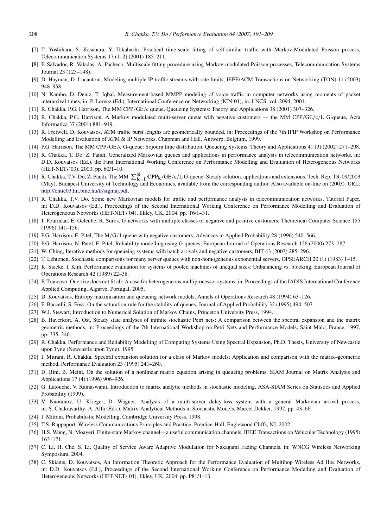- <span id="page-17-0"></span>[7] T. Yoshihara, S. Kasahara, Y. Takahashi, Practical time-scale fitting of self-similar traffic with Markov-Modulated Poisson process, Telecommunication Systems 17 (1–2) (2001) 185–211.
- [8] P. Salvador, R. Valadas, A. Pacheco, Multiscale fitting procedure using Markov-modulated Poisson processes, Telecommunication Systems Journal 23 (123–148).
- [9] D. Hayman, D. Lucantoni, Modeling multiple IP traffic streams with rate limits, IEEE/ACM Transactions on Networking (TON) 11 (2003) 948–958.
- [10] N. Kambo, D. Deniz, T. Iqbal, Measurement-based MMPP modeling of voice traffic in computer networks using moments of packet interarrival times, in: P. Lorenz (Ed.), International Conference on Networking (ICN'01), in: LNCS, vol. 2094, 2001.
- <span id="page-17-1"></span>[11] R. Chakka, P.G. Harrison, The MM CPP/GE/c queue, Queueing Systems: Theory and Applications 38 (2001) 307–326.
- <span id="page-17-2"></span>[12] R. Chakka, P.G. Harrison, A Markov modulated multi-server queue with negative customers — the MM CPP/GE/c/L G-queue, Acta Informatica 37 (2001) 881–919.
- <span id="page-17-3"></span>[13] R. Fretwell, D. Kouvatsos, ATM traffic burst lengths are geometrically bounded, in: Proceedings of the 7th IFIP Workshop on Performance Modelling and Evaluation of ATM & IP Networks, Chapman and Hall, Antwerp, Belgium, 1999.
- <span id="page-17-4"></span>[14] P.G. Harrison, The MM CPP/GE/c G-queue: Sojourn time distribution, Queueing Systems: Theory and Applications 41 (3) (2002) 271–298.
- <span id="page-17-5"></span>[15] R. Chakka, T. Do, Z. Pandi, Generalized Markovian queues and applications in performance analysis in telecommunication networks, in: D.D. Kouvatsos (Ed.), the First International Working Conference on Performance Modelling and Evaluation of Heterogeneous Networks (HET-NETs'03), 2003, pp. 60/1–10.
- <span id="page-17-6"></span>[16] R. Chakka, T.V. Do, Z. Pandi, The MM  $\sum_{k=1}^{K}$  CPP<sub>k</sub>/GE/c/L G-queue: Steady solution, applications and extensions, Tech. Rep. TR-09/2003 (May), Budapest University of Technology and Economics, available from the corresponding author. Also available on-line on (2003). URL: [http://cntic03.hit.bme.hu/tr/sigmaj.pdf.](http://cntic03.hit.bme.hu/tr/sigmaj.pdf)
- <span id="page-17-7"></span>[17] R. Chakka, T.V. Do, Some new Markovian models for traffic and performance analysis in telecommunication networks, Tutorial Paper, in: D.D. Kouvatsos (Ed.), Proceedings of the Second International Working Conference on Performance Modelling and Evaluation of Heterogeneous Networks (HET-NETs 04), Ilkley, UK, 2004, pp. T6/1–31.
- <span id="page-17-8"></span>[18] J. Fourneau, E. Gelenbe, R. Suros, G-networks with multiple classes of negative and positive customers, Theoretical Computer Science 155 (1996) 141–156.
- <span id="page-17-9"></span>[19] P.G. Harrison, E. Pitel, The M/G/1 queue with negative customers, Advances in Applied Probability 28 (1996) 540–566.
- <span id="page-17-10"></span>[20] P.G. Harrison, N. Patel, E. Pitel, Reliability modelling using G-queues, European Journal of Operations Research 126 (2000) 273–287.
- <span id="page-17-11"></span>[21] W. Ching, Iterative methods for queueing systems with batch arrivals and negative customers, BIT 43 (2003) 285–296.
- <span id="page-17-12"></span>[22] T. Lehtonen, Stochastic comparisons for many server queues with non-homogeneous exponential servers, OPSEARCH 20 (1) (1983) 1–15.
- <span id="page-17-13"></span>[23] K. Stecke, I. Kim, Performance evaluation for systems of pooled machines of unequal sizes: Unbalancing vs. blocking, European Journal of Operations Research 42 (1989) 22–38.
- <span id="page-17-14"></span>[24] P. Trancoso, One size does not fit all: A case for heterogeneous multiprocessor systems, in: Proceedings of the IADIS International Conference Applied Computing, Algarve, Portugal, 2005.
- <span id="page-17-15"></span>[25] D. Kouvatsos, Entropy maximisation and queueing network models, Annals of Operations Research 48 (1994) 63–126.
- <span id="page-17-16"></span>[26] F. Baccelli, S. Foss, On the saturation rule for the stability of queues, Journal of Applied Probability 32 (1995) 494–507.
- <span id="page-17-17"></span>[27] W.J. Stewart, Introduction to Numerical Solution of Markov Chains, Princeton University Press, 1994.
- <span id="page-17-19"></span>[28] B. Haverkort, A. Ost, Steady state analyses of infinite stochastic Petri nets: A comparison between the spectral expansion and the matrix geometric methods, in: Proceedings of the 7th International Workshop on Petri Nets and Performance Models, Saint Malo, France, 1997, pp. 335–346.
- <span id="page-17-20"></span>[29] R. Chakka, Performance and Reliability Modelling of Computing Systems Using Spectral Expansion, Ph.D. Thesis, University of Newcastle upon Tyne (Newcastle upon Tyne), 1995.
- <span id="page-17-21"></span>[30] I. Mitrani, R. Chakka, Spectral expansion solution for a class of Markov models: Application and comparison with the matrix–geometric method, Performance Evaluation 23 (1995) 241–260.
- <span id="page-17-18"></span>[31] D. Bini, B. Meini, On the solution of a nonlinear matrix equation arising in queueing problems, SIAM Journal on Matrix Analysis and Applications 17 (4) (1996) 906–926.
- <span id="page-17-22"></span>[32] G. Latouche, V. Ramaswami, Introduction to matrix analytic methods in stochastic modeling, ASA-SIAM Series on Statistics and Applied Probability (1999).
- <span id="page-17-23"></span>[33] V. Naoumov, U. Krieger, D. Wagner, Analysis of a multi-server delay-loss system with a general Markovian arrival process, in: S. Chakravarthy, A. Alfa (Eds.), Matrix-Analytical Methods in Stochastic Models, Marcel Dekker, 1997, pp. 43–66.
- <span id="page-17-24"></span>[34] I. Mitrani, Probabilistic Modelling, Cambridge University Press, 1998.
- <span id="page-17-25"></span>[35] T.S. Rappaport, Wireless Communications Principles and Practice, Prentice-Hall, Englewood Cliffs, NJ, 2002.
- <span id="page-17-26"></span>[36] H.S. Wang, N. Moayeri, Finite-state Markov channel—a useful communication channels, IEEE Transactions on Vehicular Technology (1995) 163–171.
- <span id="page-17-27"></span>[37] C. Li, H. Che, S. Li, Quality of Service Aware Adaptive Modulation for Nakagami Fading Channels, in: WNCG Wireless Networking Symposium, 2004.
- <span id="page-17-28"></span>[38] C. Skianis, D. Kouvatsos, An Information Theoretic Approach for the Performance Evaluation of Multihop Wireless Ad Hoc Networks, in: D.D. Kouvatsos (Ed.), Proceedings of the Second International Working Conference on Performance Modelling and Evaluation of Heterogeneous Networks (HET-NETs 04), Ilkley, UK, 2004, pp. P81/1–13.